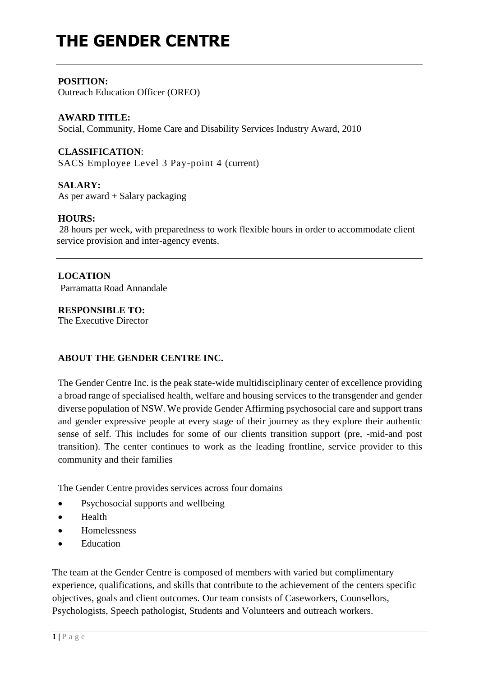# **THE GENDER CENTRE**

#### **POSITION:**

Outreach Education Officer (OREO)

#### **AWARD TITLE:**

Social, Community, Home Care and Disability Services Industry Award, 2010

#### **CLASSIFICATION**:

SACS Employee Level 3 Pay-point 4 (current)

#### **SALARY:**

As per award + Salary packaging

#### **HOURS:**

28 hours per week, with preparedness to work flexible hours in order to accommodate client service provision and inter-agency events.

#### **LOCATION**

Parramatta Road Annandale

#### **RESPONSIBLE TO:**

The Executive Director

#### **ABOUT THE GENDER CENTRE INC.**

The Gender Centre Inc. is the peak state-wide multidisciplinary center of excellence providing a broad range of specialised health, welfare and housing services to the transgender and gender diverse population of NSW. We provide Gender Affirming psychosocial care and support trans and gender expressive people at every stage of their journey as they explore their authentic sense of self. This includes for some of our clients transition support (pre, -mid-and post transition). The center continues to work as the leading frontline, service provider to this community and their families

The Gender Centre provides services across four domains

- Psychosocial supports and wellbeing
- Health
- Homelessness
- Education

The team at the Gender Centre is composed of members with varied but complimentary experience, qualifications, and skills that contribute to the achievement of the centers specific objectives, goals and client outcomes. Our team consists of Caseworkers, Counsellors, Psychologists, Speech pathologist, Students and Volunteers and outreach workers.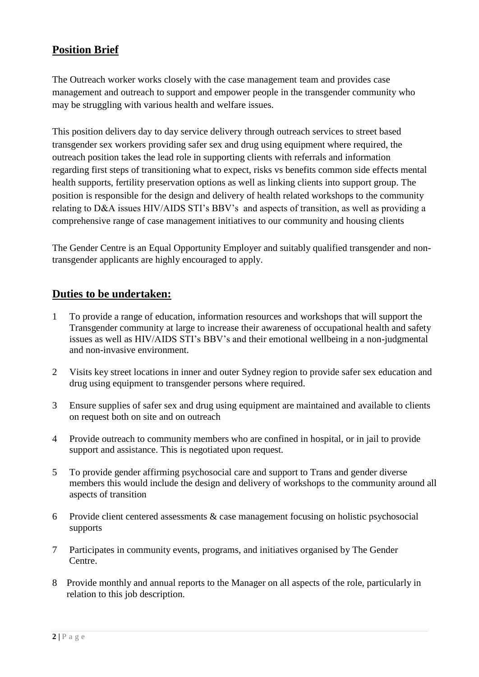# **Position Brief**

The Outreach worker works closely with the case management team and provides case management and outreach to support and empower people in the transgender community who may be struggling with various health and welfare issues.

This position delivers day to day service delivery through outreach services to street based transgender sex workers providing safer sex and drug using equipment where required, the outreach position takes the lead role in supporting clients with referrals and information regarding first steps of transitioning what to expect, risks vs benefits common side effects mental health supports, fertility preservation options as well as linking clients into support group. The position is responsible for the design and delivery of health related workshops to the community relating to D&A issues HIV/AIDS STI's BBV's and aspects of transition, as well as providing a comprehensive range of case management initiatives to our community and housing clients

The Gender Centre is an Equal Opportunity Employer and suitably qualified transgender and nontransgender applicants are highly encouraged to apply.

## **Duties to be undertaken:**

- 1 To provide a range of education, information resources and workshops that will support the Transgender community at large to increase their awareness of occupational health and safety issues as well as HIV/AIDS STI's BBV's and their emotional wellbeing in a non-judgmental and non-invasive environment.
- 2 Visits key street locations in inner and outer Sydney region to provide safer sex education and drug using equipment to transgender persons where required.
- 3 Ensure supplies of safer sex and drug using equipment are maintained and available to clients on request both on site and on outreach
- 4 Provide outreach to community members who are confined in hospital, or in jail to provide support and assistance. This is negotiated upon request.
- 5 To provide gender affirming psychosocial care and support to Trans and gender diverse members this would include the design and delivery of workshops to the community around all aspects of transition
- 6 Provide client centered assessments & case management focusing on holistic psychosocial supports
- 7 Participates in community events, programs, and initiatives organised by The Gender Centre.
- 8 Provide monthly and annual reports to the Manager on all aspects of the role, particularly in relation to this job description.